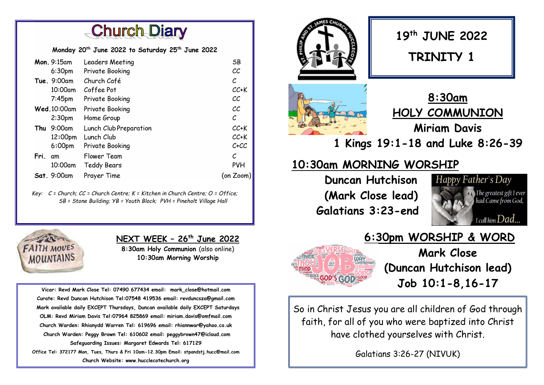**Church Diary** 

Monday 20<sup>th</sup> June 2022 to Saturday 25<sup>th</sup> June 2022

| Mon. 9:15am        | Leaders Meeting        | SB         |
|--------------------|------------------------|------------|
| 6:30pm             | Private Booking        | СC         |
| <b>Tue.</b> 9:00am | Church Café            | С          |
| $10:00$ am         | Coffee Pot             | $CC+K$     |
| $7:45$ pm          | Private Booking        | СC         |
| Wed.10:00am        | Private Booking        | CC         |
| 2:30 <sub>pm</sub> | Home Group             | С          |
| $9:00$ am<br>Thu   | Lunch Club Preparation | $CC+K$     |
| 12:00pm            | Lunch Club             | $CC+K$     |
| 6:00 <sub>pm</sub> | Private Booking        | $C+C$      |
| Fri.<br>am         | Flower Team            | С          |
| 10:00am            | <b>Teddy Bears</b>     | <b>PVH</b> |
| Sat. 9:00am        | Prayer Time            | (on Zoom   |

Key:  $C =$  Church;  $CC =$  Church Centre;  $K =$  Kitchen in Church Centre;  $O =$  Office; SB = Stone Building; YB = Youth Block; PVH = Pineholt Village Hall



ı

NEXT WEEK - 26<sup>th</sup> June 2022

8:30am Holy Communion (also online) 10:30am Morning Worship

Vicar: Revd Mark Close Tel: 07490 677434 email: mark\_close@hotmail.com Curate: Revd Duncan Hutchison Tel:07548 419536 email: revduncsza@gmail.com Mark available daily EXCEPT Thursdays, Duncan available daily EXCEPT Saturdays OLM: Revd Miriam Davis Tel:07964 825869 email: miriam.davis@omfmail.com Church Warden: Rhianydd Warren Tel: 619696 email: rhiannwar@yahoo.co.uk Church Warden: Peggy Brown Tel: 610602 email: peggybrown47@icloud.com Safeguarding Issues: Margaret Edwards Tel: 617129 Office Tel: 372177 Mon, Tues, Thurs & Fri 10am-12.30pm Email: stpandstj.hucc@mail.com Church Website: www.hucclecotechurch.org





6:30pm WORSHIP & WORD Mark Close (Duncan Hutchison lead) Job 10:1-8,16-17

So in Christ Jesus you are all children of God through faith, for all of you who were baptized into Christ have clothed yourselves with Christ.

Galatians 3:26-27 (NIVUK)